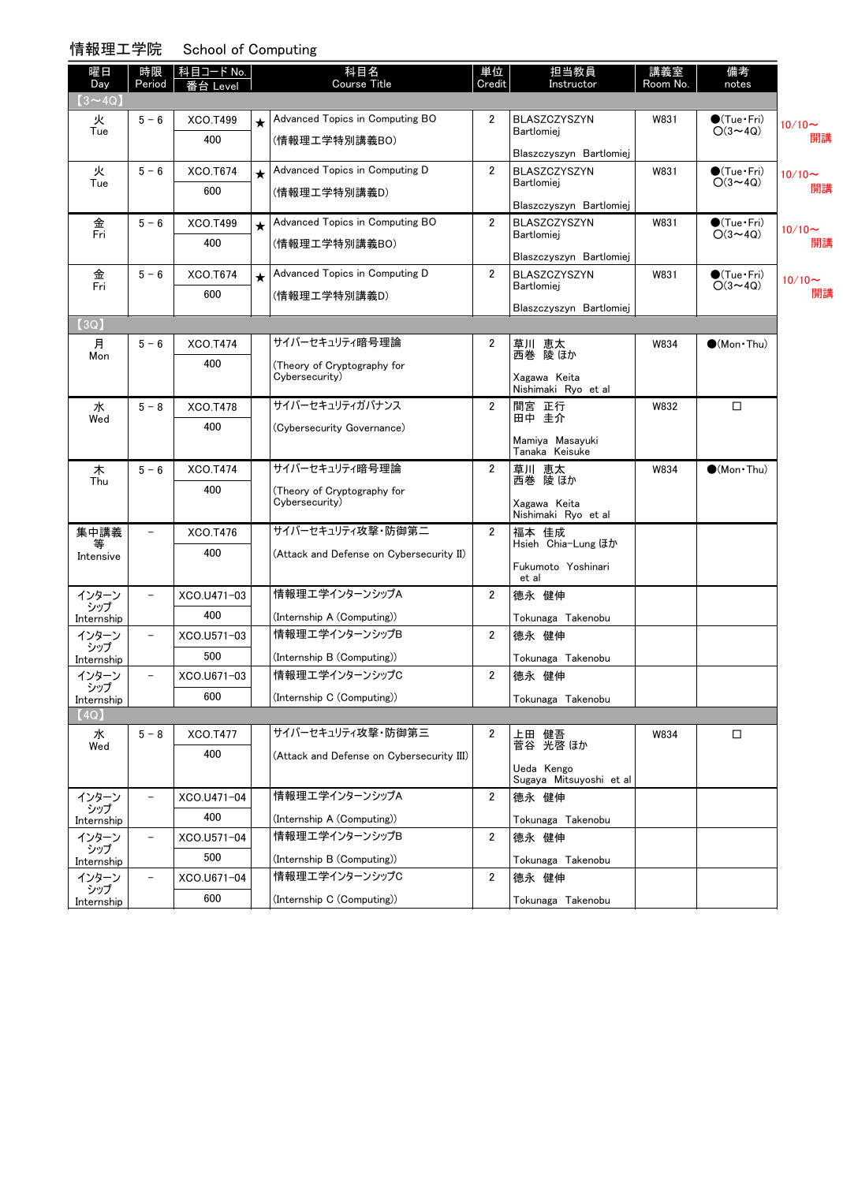### 情報理工学院 School of Computing

| $(3 \sim 4Q)$<br>火<br><b>XCO.T499</b><br>Advanced Topics in Computing BO<br>$\overline{2}$<br><b>BLASZCZYSZYN</b><br>$5 - 6$<br>W831<br>$\bigcirc$ (Tue·Fri)<br>$\star$<br>$O(3 \sim 4Q)$<br>Tue<br>Bartlomiej<br>400<br>(情報理工学特別講義BO)<br>Blaszczyszyn Bartlomiej<br>火<br>$5 - 6$<br>Advanced Topics in Computing D<br>$\overline{2}$<br>XCO.T674<br>BLASZCZYSZYN<br>W831<br>$\bullet$ (Tue · Fri)<br>$\star$<br>$O(3 \sim 4Q)$<br>Tue<br>Bartlomiei<br>600<br>(情報理工学特別講義D)<br>Blaszczyszyn Bartlomiej<br>金<br>Advanced Topics in Computing BO<br>$\overline{2}$<br>$5 - 6$<br>XCO.T499<br><b>BLASZCZYSZYN</b><br>W831<br>$\bullet$ (Tue•Fri)<br>$\star$<br>Fri<br>$O(3 \sim 4Q)$<br>Bartlomiej<br>400<br>(情報理工学特別講義BO)<br>Blaszczyszyn Bartlomiej<br>$5 - 6$<br>Advanced Topics in Computing D<br>$\overline{2}$<br>XCO.T674<br>BLASZCZYSZYN<br>W831<br>$\bullet$ (Tue · Fri)<br>金<br>$\star$<br>Fri<br>$O(3 \sim 4Q)$<br>Bartlomiej<br>600<br>(情報理工学特別講義D)<br>Blaszczyszyn Bartlomiej<br>(3Q)<br>サイバーセキュリティ暗号理論<br>月<br><b>XCO.T474</b><br>2<br>$5 - 6$<br>草川 恵太<br>西巻 陵ほか<br>$\bigcirc$ (Mon Thu)<br>W834<br>Mon<br>400<br>(Theory of Cryptography for<br>Cybersecurity)<br>Xagawa Keita<br>Nishimaki Ryo et al<br>サイバーセキュリティガバナンス<br><b>XCO.T478</b><br>$\overline{2}$<br>$\Box$<br>水<br>間宮 正行<br>W832<br>$5 - 8$<br>田中圭介<br>Wed<br>400<br>(Cybersecurity Governance)<br>Mamiya Masayuki<br>Tanaka Keisuke<br>サイバーセキュリティ暗号理論<br>草川 恵太<br>$\overline{2}$<br>$(Mon\cdot Thu)$<br>木<br>$5 - 6$<br><b>XCO.T474</b><br>W834<br>西巻 陵 ほか<br>Thu<br>400<br>(Theory of Cryptography for<br>Cybersecurity)<br>Xagawa Keita<br>Nishimaki Ryo et al<br>サイバーセキュリティ攻撃・防御第二<br>集中講義<br><b>XCO.T476</b><br>$\overline{2}$<br>福本 佳成<br>$\overline{\phantom{0}}$<br>Hsieh Chia-Lung ほか<br>400<br>(Attack and Defense on Cybersecurity II)<br>Intensive<br>Fukumoto Yoshinari<br>et al<br>情報理エ学インターンシップA<br>$\overline{2}$<br>德永 健伸<br>インターン<br>XCO.U471-03<br>$\qquad \qquad -$<br>シップ<br>400<br>(Internship A (Computing))<br>Tokunaga Takenobu<br>Internship<br>情報理エ学インターンシップB<br>$\overline{2}$<br>德永 健伸<br>インターン<br>XCO.U571-03<br>$\overline{\phantom{a}}$<br>シップ<br>500<br>(Internship B (Computing))<br>Tokunaga Takenobu<br>Internship<br>情報理エ学インターンシップC<br>インターン<br>$\overline{2}$<br>XCO.U671-03<br>德永 健伸<br>$\overline{\phantom{a}}$<br>シップ<br>600<br>(Internship C (Computing))<br>Tokunaga Takenobu<br>Internship<br>(4Q)<br>サイバーセキュリティ攻撃・防御第三<br>水<br>$5 - 8$<br>□<br>XCO.T477<br>2<br>上田 健吾<br>菅谷 光啓 ほか<br>W834<br>Wed<br>400<br>(Attack and Defense on Cybersecurity III)<br>Ueda Kengo<br>Sugaya Mitsuyoshi et al<br>情報理工学インターンシップA<br>$\overline{2}$<br>德永 健伸<br>インターン<br>XCO.U471-04<br>$\overline{\phantom{a}}$<br>シップ<br>400<br>(Internship A (Computing))<br>Tokunaga Takenobu<br>Internship<br>情報理エ学インターンシップB<br>$\overline{2}$<br>インターン<br>XCO.U571-04<br>德永 健伸<br>$\overline{\phantom{a}}$<br>シップ<br>500<br>(Internship B (Computing))<br>Tokunaga Takenobu<br>Internship<br>情報理エ学インターンシップC<br>インターン<br>$\overline{2}$<br>XCO.U671-04<br>德永 健伸<br>$\qquad \qquad -$<br>シップ<br>600<br>(Internship C (Computing)) | 曜日<br>Day  | 時限<br>Period | 科目コード No.<br>i台 Level | 科目名<br><b>Course Title</b> | 単位<br>Credit | 担当教員<br>Instructor | 講義室<br>Room No. | 備考<br>notes |              |
|----------------------------------------------------------------------------------------------------------------------------------------------------------------------------------------------------------------------------------------------------------------------------------------------------------------------------------------------------------------------------------------------------------------------------------------------------------------------------------------------------------------------------------------------------------------------------------------------------------------------------------------------------------------------------------------------------------------------------------------------------------------------------------------------------------------------------------------------------------------------------------------------------------------------------------------------------------------------------------------------------------------------------------------------------------------------------------------------------------------------------------------------------------------------------------------------------------------------------------------------------------------------------------------------------------------------------------------------------------------------------------------------------------------------------------------------------------------------------------------------------------------------------------------------------------------------------------------------------------------------------------------------------------------------------------------------------------------------------------------------------------------------------------------------------------------------------------------------------------------------------------------------------------------------------------------------------------------------------------------------------------------------------------------------------------------------------------------------------------------------------------------------------------------------------------------------------------------------------------------------------------------------------------------------------------------------------------------------------------------------------------------------------------------------------------------------------------------------------------------------------------------------------------------------------------------------------------------------------------------------------------------------------------------------------------------------------------------------------------------------------------------------------------------------------------------------------------------------------------------------------------------------------------------------------------------------------------------------------------------------------------------------------------------------------------------------------------------------------------------------------|------------|--------------|-----------------------|----------------------------|--------------|--------------------|-----------------|-------------|--------------|
|                                                                                                                                                                                                                                                                                                                                                                                                                                                                                                                                                                                                                                                                                                                                                                                                                                                                                                                                                                                                                                                                                                                                                                                                                                                                                                                                                                                                                                                                                                                                                                                                                                                                                                                                                                                                                                                                                                                                                                                                                                                                                                                                                                                                                                                                                                                                                                                                                                                                                                                                                                                                                                                                                                                                                                                                                                                                                                                                                                                                                                                                                                                            |            |              |                       |                            |              |                    |                 |             |              |
|                                                                                                                                                                                                                                                                                                                                                                                                                                                                                                                                                                                                                                                                                                                                                                                                                                                                                                                                                                                                                                                                                                                                                                                                                                                                                                                                                                                                                                                                                                                                                                                                                                                                                                                                                                                                                                                                                                                                                                                                                                                                                                                                                                                                                                                                                                                                                                                                                                                                                                                                                                                                                                                                                                                                                                                                                                                                                                                                                                                                                                                                                                                            |            |              |                       |                            |              |                    |                 |             | $10/10 \sim$ |
|                                                                                                                                                                                                                                                                                                                                                                                                                                                                                                                                                                                                                                                                                                                                                                                                                                                                                                                                                                                                                                                                                                                                                                                                                                                                                                                                                                                                                                                                                                                                                                                                                                                                                                                                                                                                                                                                                                                                                                                                                                                                                                                                                                                                                                                                                                                                                                                                                                                                                                                                                                                                                                                                                                                                                                                                                                                                                                                                                                                                                                                                                                                            |            |              |                       |                            |              |                    |                 |             | 開講           |
|                                                                                                                                                                                                                                                                                                                                                                                                                                                                                                                                                                                                                                                                                                                                                                                                                                                                                                                                                                                                                                                                                                                                                                                                                                                                                                                                                                                                                                                                                                                                                                                                                                                                                                                                                                                                                                                                                                                                                                                                                                                                                                                                                                                                                                                                                                                                                                                                                                                                                                                                                                                                                                                                                                                                                                                                                                                                                                                                                                                                                                                                                                                            |            |              |                       |                            |              |                    |                 |             | $10/10 \sim$ |
|                                                                                                                                                                                                                                                                                                                                                                                                                                                                                                                                                                                                                                                                                                                                                                                                                                                                                                                                                                                                                                                                                                                                                                                                                                                                                                                                                                                                                                                                                                                                                                                                                                                                                                                                                                                                                                                                                                                                                                                                                                                                                                                                                                                                                                                                                                                                                                                                                                                                                                                                                                                                                                                                                                                                                                                                                                                                                                                                                                                                                                                                                                                            |            |              |                       |                            |              |                    |                 |             | 開講           |
|                                                                                                                                                                                                                                                                                                                                                                                                                                                                                                                                                                                                                                                                                                                                                                                                                                                                                                                                                                                                                                                                                                                                                                                                                                                                                                                                                                                                                                                                                                                                                                                                                                                                                                                                                                                                                                                                                                                                                                                                                                                                                                                                                                                                                                                                                                                                                                                                                                                                                                                                                                                                                                                                                                                                                                                                                                                                                                                                                                                                                                                                                                                            |            |              |                       |                            |              |                    |                 |             | $10/10 \sim$ |
|                                                                                                                                                                                                                                                                                                                                                                                                                                                                                                                                                                                                                                                                                                                                                                                                                                                                                                                                                                                                                                                                                                                                                                                                                                                                                                                                                                                                                                                                                                                                                                                                                                                                                                                                                                                                                                                                                                                                                                                                                                                                                                                                                                                                                                                                                                                                                                                                                                                                                                                                                                                                                                                                                                                                                                                                                                                                                                                                                                                                                                                                                                                            |            |              |                       |                            |              |                    |                 |             | 開講           |
|                                                                                                                                                                                                                                                                                                                                                                                                                                                                                                                                                                                                                                                                                                                                                                                                                                                                                                                                                                                                                                                                                                                                                                                                                                                                                                                                                                                                                                                                                                                                                                                                                                                                                                                                                                                                                                                                                                                                                                                                                                                                                                                                                                                                                                                                                                                                                                                                                                                                                                                                                                                                                                                                                                                                                                                                                                                                                                                                                                                                                                                                                                                            |            |              |                       |                            |              |                    |                 |             | $10/10$ ~    |
|                                                                                                                                                                                                                                                                                                                                                                                                                                                                                                                                                                                                                                                                                                                                                                                                                                                                                                                                                                                                                                                                                                                                                                                                                                                                                                                                                                                                                                                                                                                                                                                                                                                                                                                                                                                                                                                                                                                                                                                                                                                                                                                                                                                                                                                                                                                                                                                                                                                                                                                                                                                                                                                                                                                                                                                                                                                                                                                                                                                                                                                                                                                            |            |              |                       |                            |              |                    |                 |             | 開講           |
|                                                                                                                                                                                                                                                                                                                                                                                                                                                                                                                                                                                                                                                                                                                                                                                                                                                                                                                                                                                                                                                                                                                                                                                                                                                                                                                                                                                                                                                                                                                                                                                                                                                                                                                                                                                                                                                                                                                                                                                                                                                                                                                                                                                                                                                                                                                                                                                                                                                                                                                                                                                                                                                                                                                                                                                                                                                                                                                                                                                                                                                                                                                            |            |              |                       |                            |              |                    |                 |             |              |
|                                                                                                                                                                                                                                                                                                                                                                                                                                                                                                                                                                                                                                                                                                                                                                                                                                                                                                                                                                                                                                                                                                                                                                                                                                                                                                                                                                                                                                                                                                                                                                                                                                                                                                                                                                                                                                                                                                                                                                                                                                                                                                                                                                                                                                                                                                                                                                                                                                                                                                                                                                                                                                                                                                                                                                                                                                                                                                                                                                                                                                                                                                                            |            |              |                       |                            |              |                    |                 |             |              |
|                                                                                                                                                                                                                                                                                                                                                                                                                                                                                                                                                                                                                                                                                                                                                                                                                                                                                                                                                                                                                                                                                                                                                                                                                                                                                                                                                                                                                                                                                                                                                                                                                                                                                                                                                                                                                                                                                                                                                                                                                                                                                                                                                                                                                                                                                                                                                                                                                                                                                                                                                                                                                                                                                                                                                                                                                                                                                                                                                                                                                                                                                                                            |            |              |                       |                            |              |                    |                 |             |              |
|                                                                                                                                                                                                                                                                                                                                                                                                                                                                                                                                                                                                                                                                                                                                                                                                                                                                                                                                                                                                                                                                                                                                                                                                                                                                                                                                                                                                                                                                                                                                                                                                                                                                                                                                                                                                                                                                                                                                                                                                                                                                                                                                                                                                                                                                                                                                                                                                                                                                                                                                                                                                                                                                                                                                                                                                                                                                                                                                                                                                                                                                                                                            |            |              |                       |                            |              |                    |                 |             |              |
|                                                                                                                                                                                                                                                                                                                                                                                                                                                                                                                                                                                                                                                                                                                                                                                                                                                                                                                                                                                                                                                                                                                                                                                                                                                                                                                                                                                                                                                                                                                                                                                                                                                                                                                                                                                                                                                                                                                                                                                                                                                                                                                                                                                                                                                                                                                                                                                                                                                                                                                                                                                                                                                                                                                                                                                                                                                                                                                                                                                                                                                                                                                            |            |              |                       |                            |              |                    |                 |             |              |
|                                                                                                                                                                                                                                                                                                                                                                                                                                                                                                                                                                                                                                                                                                                                                                                                                                                                                                                                                                                                                                                                                                                                                                                                                                                                                                                                                                                                                                                                                                                                                                                                                                                                                                                                                                                                                                                                                                                                                                                                                                                                                                                                                                                                                                                                                                                                                                                                                                                                                                                                                                                                                                                                                                                                                                                                                                                                                                                                                                                                                                                                                                                            |            |              |                       |                            |              |                    |                 |             |              |
|                                                                                                                                                                                                                                                                                                                                                                                                                                                                                                                                                                                                                                                                                                                                                                                                                                                                                                                                                                                                                                                                                                                                                                                                                                                                                                                                                                                                                                                                                                                                                                                                                                                                                                                                                                                                                                                                                                                                                                                                                                                                                                                                                                                                                                                                                                                                                                                                                                                                                                                                                                                                                                                                                                                                                                                                                                                                                                                                                                                                                                                                                                                            |            |              |                       |                            |              |                    |                 |             |              |
|                                                                                                                                                                                                                                                                                                                                                                                                                                                                                                                                                                                                                                                                                                                                                                                                                                                                                                                                                                                                                                                                                                                                                                                                                                                                                                                                                                                                                                                                                                                                                                                                                                                                                                                                                                                                                                                                                                                                                                                                                                                                                                                                                                                                                                                                                                                                                                                                                                                                                                                                                                                                                                                                                                                                                                                                                                                                                                                                                                                                                                                                                                                            |            |              |                       |                            |              |                    |                 |             |              |
|                                                                                                                                                                                                                                                                                                                                                                                                                                                                                                                                                                                                                                                                                                                                                                                                                                                                                                                                                                                                                                                                                                                                                                                                                                                                                                                                                                                                                                                                                                                                                                                                                                                                                                                                                                                                                                                                                                                                                                                                                                                                                                                                                                                                                                                                                                                                                                                                                                                                                                                                                                                                                                                                                                                                                                                                                                                                                                                                                                                                                                                                                                                            |            |              |                       |                            |              |                    |                 |             |              |
|                                                                                                                                                                                                                                                                                                                                                                                                                                                                                                                                                                                                                                                                                                                                                                                                                                                                                                                                                                                                                                                                                                                                                                                                                                                                                                                                                                                                                                                                                                                                                                                                                                                                                                                                                                                                                                                                                                                                                                                                                                                                                                                                                                                                                                                                                                                                                                                                                                                                                                                                                                                                                                                                                                                                                                                                                                                                                                                                                                                                                                                                                                                            |            |              |                       |                            |              |                    |                 |             |              |
|                                                                                                                                                                                                                                                                                                                                                                                                                                                                                                                                                                                                                                                                                                                                                                                                                                                                                                                                                                                                                                                                                                                                                                                                                                                                                                                                                                                                                                                                                                                                                                                                                                                                                                                                                                                                                                                                                                                                                                                                                                                                                                                                                                                                                                                                                                                                                                                                                                                                                                                                                                                                                                                                                                                                                                                                                                                                                                                                                                                                                                                                                                                            |            |              |                       |                            |              |                    |                 |             |              |
|                                                                                                                                                                                                                                                                                                                                                                                                                                                                                                                                                                                                                                                                                                                                                                                                                                                                                                                                                                                                                                                                                                                                                                                                                                                                                                                                                                                                                                                                                                                                                                                                                                                                                                                                                                                                                                                                                                                                                                                                                                                                                                                                                                                                                                                                                                                                                                                                                                                                                                                                                                                                                                                                                                                                                                                                                                                                                                                                                                                                                                                                                                                            |            |              |                       |                            |              |                    |                 |             |              |
|                                                                                                                                                                                                                                                                                                                                                                                                                                                                                                                                                                                                                                                                                                                                                                                                                                                                                                                                                                                                                                                                                                                                                                                                                                                                                                                                                                                                                                                                                                                                                                                                                                                                                                                                                                                                                                                                                                                                                                                                                                                                                                                                                                                                                                                                                                                                                                                                                                                                                                                                                                                                                                                                                                                                                                                                                                                                                                                                                                                                                                                                                                                            |            |              |                       |                            |              |                    |                 |             |              |
|                                                                                                                                                                                                                                                                                                                                                                                                                                                                                                                                                                                                                                                                                                                                                                                                                                                                                                                                                                                                                                                                                                                                                                                                                                                                                                                                                                                                                                                                                                                                                                                                                                                                                                                                                                                                                                                                                                                                                                                                                                                                                                                                                                                                                                                                                                                                                                                                                                                                                                                                                                                                                                                                                                                                                                                                                                                                                                                                                                                                                                                                                                                            |            |              |                       |                            |              |                    |                 |             |              |
|                                                                                                                                                                                                                                                                                                                                                                                                                                                                                                                                                                                                                                                                                                                                                                                                                                                                                                                                                                                                                                                                                                                                                                                                                                                                                                                                                                                                                                                                                                                                                                                                                                                                                                                                                                                                                                                                                                                                                                                                                                                                                                                                                                                                                                                                                                                                                                                                                                                                                                                                                                                                                                                                                                                                                                                                                                                                                                                                                                                                                                                                                                                            |            |              |                       |                            |              |                    |                 |             |              |
|                                                                                                                                                                                                                                                                                                                                                                                                                                                                                                                                                                                                                                                                                                                                                                                                                                                                                                                                                                                                                                                                                                                                                                                                                                                                                                                                                                                                                                                                                                                                                                                                                                                                                                                                                                                                                                                                                                                                                                                                                                                                                                                                                                                                                                                                                                                                                                                                                                                                                                                                                                                                                                                                                                                                                                                                                                                                                                                                                                                                                                                                                                                            |            |              |                       |                            |              |                    |                 |             |              |
|                                                                                                                                                                                                                                                                                                                                                                                                                                                                                                                                                                                                                                                                                                                                                                                                                                                                                                                                                                                                                                                                                                                                                                                                                                                                                                                                                                                                                                                                                                                                                                                                                                                                                                                                                                                                                                                                                                                                                                                                                                                                                                                                                                                                                                                                                                                                                                                                                                                                                                                                                                                                                                                                                                                                                                                                                                                                                                                                                                                                                                                                                                                            |            |              |                       |                            |              |                    |                 |             |              |
|                                                                                                                                                                                                                                                                                                                                                                                                                                                                                                                                                                                                                                                                                                                                                                                                                                                                                                                                                                                                                                                                                                                                                                                                                                                                                                                                                                                                                                                                                                                                                                                                                                                                                                                                                                                                                                                                                                                                                                                                                                                                                                                                                                                                                                                                                                                                                                                                                                                                                                                                                                                                                                                                                                                                                                                                                                                                                                                                                                                                                                                                                                                            |            |              |                       |                            |              |                    |                 |             |              |
|                                                                                                                                                                                                                                                                                                                                                                                                                                                                                                                                                                                                                                                                                                                                                                                                                                                                                                                                                                                                                                                                                                                                                                                                                                                                                                                                                                                                                                                                                                                                                                                                                                                                                                                                                                                                                                                                                                                                                                                                                                                                                                                                                                                                                                                                                                                                                                                                                                                                                                                                                                                                                                                                                                                                                                                                                                                                                                                                                                                                                                                                                                                            |            |              |                       |                            |              |                    |                 |             |              |
|                                                                                                                                                                                                                                                                                                                                                                                                                                                                                                                                                                                                                                                                                                                                                                                                                                                                                                                                                                                                                                                                                                                                                                                                                                                                                                                                                                                                                                                                                                                                                                                                                                                                                                                                                                                                                                                                                                                                                                                                                                                                                                                                                                                                                                                                                                                                                                                                                                                                                                                                                                                                                                                                                                                                                                                                                                                                                                                                                                                                                                                                                                                            |            |              |                       |                            |              |                    |                 |             |              |
|                                                                                                                                                                                                                                                                                                                                                                                                                                                                                                                                                                                                                                                                                                                                                                                                                                                                                                                                                                                                                                                                                                                                                                                                                                                                                                                                                                                                                                                                                                                                                                                                                                                                                                                                                                                                                                                                                                                                                                                                                                                                                                                                                                                                                                                                                                                                                                                                                                                                                                                                                                                                                                                                                                                                                                                                                                                                                                                                                                                                                                                                                                                            |            |              |                       |                            |              |                    |                 |             |              |
|                                                                                                                                                                                                                                                                                                                                                                                                                                                                                                                                                                                                                                                                                                                                                                                                                                                                                                                                                                                                                                                                                                                                                                                                                                                                                                                                                                                                                                                                                                                                                                                                                                                                                                                                                                                                                                                                                                                                                                                                                                                                                                                                                                                                                                                                                                                                                                                                                                                                                                                                                                                                                                                                                                                                                                                                                                                                                                                                                                                                                                                                                                                            |            |              |                       |                            |              |                    |                 |             |              |
|                                                                                                                                                                                                                                                                                                                                                                                                                                                                                                                                                                                                                                                                                                                                                                                                                                                                                                                                                                                                                                                                                                                                                                                                                                                                                                                                                                                                                                                                                                                                                                                                                                                                                                                                                                                                                                                                                                                                                                                                                                                                                                                                                                                                                                                                                                                                                                                                                                                                                                                                                                                                                                                                                                                                                                                                                                                                                                                                                                                                                                                                                                                            | Internship |              |                       |                            |              | Tokunaga Takenobu  |                 |             |              |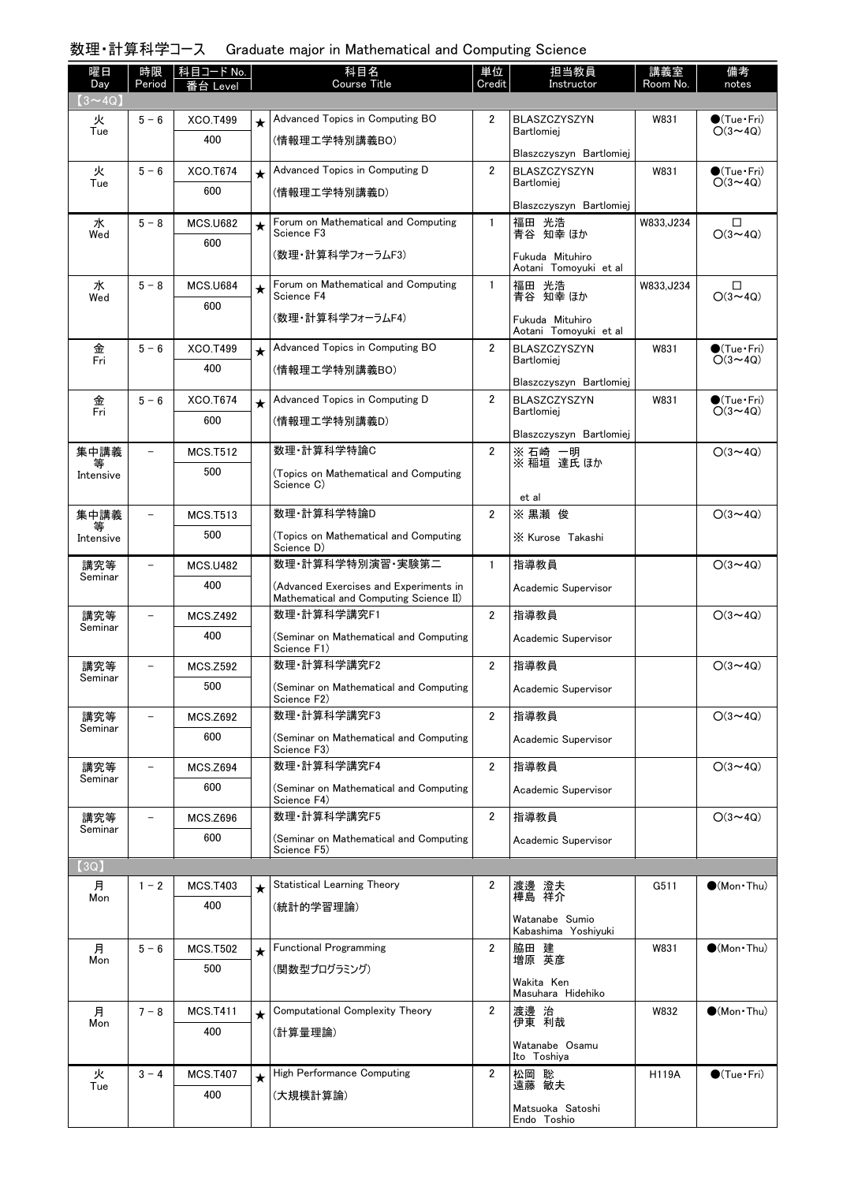# 数理・計算科学コース Graduate major in Mathematical and Computing Science

| 曜日                   | 時限                       | 科目コード No.              |         | 科目名<br><b>Course Title</b>                                 | 単位             | 担当教員                                         | 講義室<br>Room No. | 備考                                            |
|----------------------|--------------------------|------------------------|---------|------------------------------------------------------------|----------------|----------------------------------------------|-----------------|-----------------------------------------------|
| Day<br>$(3 \sim 4Q)$ | Period                   | ≸台 Level               |         |                                                            | Credit         | Instructor                                   |                 | notes                                         |
| 火                    | $5 - 6$                  | XCO.T499               | $\star$ | Advanced Topics in Computing BO                            | $\overline{2}$ | <b>BLASZCZYSZYN</b>                          | W831            | $\bullet$ (Tue•Fri)                           |
| Tue                  |                          | 400                    |         | (情報理工学特別講義BO)                                              |                | Bartlomiei<br>Blaszczyszyn Bartlomiej        |                 | $O(3 \sim 4Q)$                                |
| 火                    | $5 - 6$                  | XCO.T674               | $\star$ | Advanced Topics in Computing D                             | $\overline{2}$ | BLASZCZYSZYN                                 | W831            | $\bullet$ (Tue•Fri)                           |
| Tue                  |                          | 600                    |         | (情報理工学特別講義D)                                               |                | <b>Bartlomiei</b>                            |                 | $O(3 \sim 4Q)$                                |
| 水                    | $5 - 8$                  | <b>MCS.U682</b>        |         | Forum on Mathematical and Computing                        | $\mathbf{1}$   | Blaszczyszyn Bartlomiej<br>福田 光浩             | W833, J234      | □                                             |
| Wed                  |                          | 600                    | $\star$ | Science F3                                                 |                | 青谷 知幸 ほか                                     |                 | $O(3 \sim 4Q)$                                |
|                      |                          |                        |         | (数理・計算科学フォーラムF3)                                           |                | Fukuda Mituhiro<br>Aotani Tomoyuki et al     |                 |                                               |
| 水<br>Wed             | $5 - 8$                  | <b>MCS.U684</b>        | $\star$ | Forum on Mathematical and Computing<br>Science F4          | $\mathbf{1}$   | 福田 光浩<br>青谷 知幸 ほか                            | W833, J234      | □<br>$O(3 \sim 4Q)$                           |
|                      |                          | 600                    |         | (数理・計算科学フォーラムF4)                                           |                | Fukuda Mituhiro                              |                 |                                               |
| 金                    | $5 - 6$                  | XCO.T499               | $\star$ | Advanced Topics in Computing BO                            | $\overline{2}$ | Aotani Tomoyuki et al<br><b>BLASZCZYSZYN</b> | W831            | $\bullet$ (Tue•Fri)                           |
| Fri                  |                          | 400                    |         | (情報理工学特別講義BO)                                              |                | Bartlomiei                                   |                 | $O(3 \sim 4Q)$                                |
|                      |                          |                        |         |                                                            |                | Blaszczyszyn Bartlomiej                      |                 |                                               |
| 金<br>Fri             | $5 - 6$                  | XCO.T674<br>600        | $\star$ | Advanced Topics in Computing D<br>(情報理工学特別講義D)             | $\overline{2}$ | BLASZCZYSZYN<br>Bartlomiej                   | W831            | $\bullet$ (Tue $\cdot$ Fri)<br>$O(3 \sim 4Q)$ |
|                      |                          |                        |         |                                                            |                | Blaszczyszyn Bartlomiej                      |                 |                                               |
| 集中講義<br>等            | $\overline{\phantom{0}}$ | <b>MCS.T512</b>        |         | 数理·計算科学特論C                                                 | $\overline{2}$ | ※ 石崎 一明<br>※ 稲垣 達氏 ほか                        |                 | $O(3 \sim 4Q)$                                |
| Intensive            |                          | 500                    |         | (Topics on Mathematical and Computing<br>Science C)        |                |                                              |                 |                                               |
| 集中講義                 |                          | <b>MCS.T513</b>        |         | 数理·計算科学特論D                                                 | $\overline{2}$ | et al<br>※ 黒瀬 俊                              |                 | $O(3 \sim 4Q)$                                |
| Intensive            |                          | 500                    |         | (Topics on Mathematical and Computing                      |                | X Kurose Takashi                             |                 |                                               |
|                      |                          |                        |         | Science D)                                                 |                |                                              |                 |                                               |
| 講究等<br>Seminar       |                          | <b>MCS.U482</b><br>400 |         | 数理·計算科学特別演習·実験第二<br>(Advanced Exercises and Experiments in | $\mathbf{1}$   | 指導教員                                         |                 | $O(3 \sim 4Q)$                                |
|                      |                          |                        |         | Mathematical and Computing Science II)                     |                | Academic Supervisor                          |                 |                                               |
| 講究等<br>Seminar       |                          | <b>MCS.Z492</b>        |         | 数理·計算科学講究F1                                                | $\overline{2}$ | 指導教員                                         |                 | $O(3 \sim 4Q)$                                |
|                      |                          | 400                    |         | (Seminar on Mathematical and Computing<br>Science F1)      |                | Academic Supervisor                          |                 |                                               |
| 講究等<br>Seminar       |                          | <b>MCS.Z592</b>        |         | 数理·計算科学講究F2                                                | $\overline{2}$ | 指導教員                                         |                 | $O(3 \sim 4Q)$                                |
|                      |                          | 500                    |         | (Seminar on Mathematical and Computing<br>Science F2)      |                | Academic Supervisor                          |                 |                                               |
| 講究等<br>Seminar       |                          | <b>MCS.Z692</b>        |         | 数理·計算科学講究F3                                                | $\overline{2}$ | 指導教員                                         |                 | $O(3 \sim 4Q)$                                |
|                      |                          | 600                    |         | (Seminar on Mathematical and Computing<br>Science F3)      |                | Academic Supervisor                          |                 |                                               |
| 講究等                  |                          | <b>MCS.Z694</b>        |         | 数理·計算科学講究F4                                                | $\overline{2}$ | 指導教員                                         |                 | $O(3 \sim 4Q)$                                |
| Seminar              |                          | 600                    |         | (Seminar on Mathematical and Computing<br>Science F4)      |                | Academic Supervisor                          |                 |                                               |
| 講究等                  | $\overline{\phantom{0}}$ | <b>MCS.Z696</b>        |         | 数理·計算科学講究F5                                                | $\overline{2}$ | 指導教員                                         |                 | $O(3 \sim 4Q)$                                |
| Seminar              |                          | 600                    |         | (Seminar on Mathematical and Computing<br>Science F5)      |                | Academic Supervisor                          |                 |                                               |
| [3Q]                 |                          |                        |         |                                                            |                |                                              |                 |                                               |
| 月<br>Mon             | $1 - 2$                  | <b>MCS.T403</b>        | $\star$ | Statistical Learning Theory                                | 2              | 渡邊 澄夫<br>樺島 祥介                               | G511            | $\bullet$ (Mon Thu)                           |
|                      |                          | 400                    |         | (統計的学習理論)                                                  |                | Watanabe Sumio                               |                 |                                               |
|                      |                          |                        |         |                                                            |                | Kabashima Yoshiyuki                          |                 |                                               |
| 月<br>Mon             | $5 - 6$                  | <b>MCS.T502</b><br>500 | $\star$ | <b>Functional Programming</b>                              | $\overline{2}$ | 脇田 建<br>増原 英彦                                | W831            | $\bullet$ (Mon Thu)                           |
|                      |                          |                        |         | (関数型プログラミング)                                               |                | Wakita Ken<br>Masuhara Hidehiko              |                 |                                               |
| 月                    | $7 - 8$                  | <b>MCS.T411</b>        | $\star$ | Computational Complexity Theory                            | $\overline{2}$ | 渡邊 治<br>伊東 利哉                                | W832            | $\bullet$ (Mon Thu)                           |
| Mon                  |                          | 400                    |         | (計算量理論)                                                    |                | Watanabe Osamu                               |                 |                                               |
|                      |                          |                        |         |                                                            |                | Ito Toshiya                                  |                 |                                               |
| 火<br>Tue             | $3 - 4$                  | <b>MCS.T407</b>        | $\star$ | High Performance Computing                                 | $\overline{2}$ | 松岡 聡<br>遠藤 敏夫                                | <b>H119A</b>    | $\bigcirc$ (Tue · Fri)                        |
|                      |                          | 400                    |         | (大規模計算論)                                                   |                | Matsuoka Satoshi<br>Endo Toshio              |                 |                                               |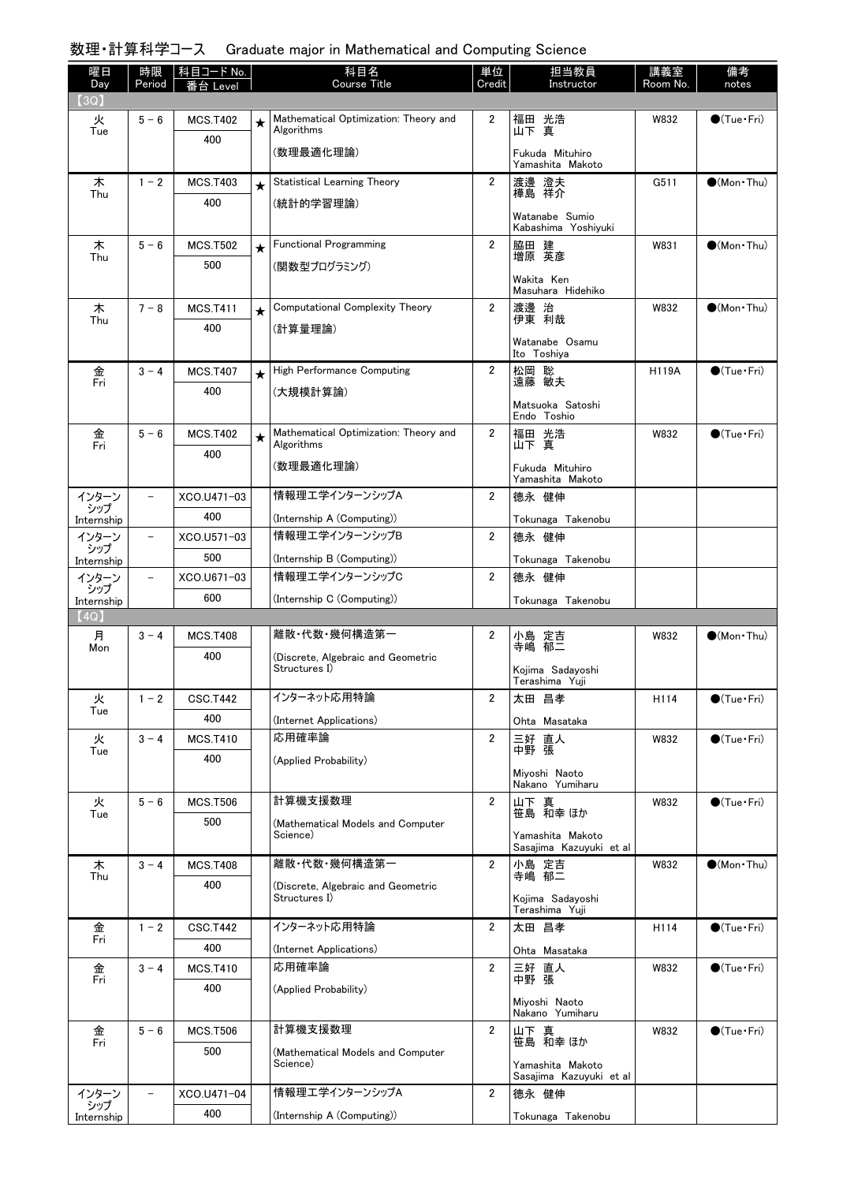# 数理・計算科学コース Graduate major in Mathematical and Computing Science

| 曜日            | 時限                       | │科目コード No.      |         | 科目名                                                 | 単位                      | 担当教員                                        | 講義室          | 備考                     |
|---------------|--------------------------|-----------------|---------|-----------------------------------------------------|-------------------------|---------------------------------------------|--------------|------------------------|
| Day<br>(3Q)   | Period                   | を合 Level        |         | <b>Course Title</b>                                 | Credit                  | Instructor                                  | Room No.     | notes                  |
| 火             | $5 - 6$                  | <b>MCS.T402</b> | $\star$ | Mathematical Optimization: Theory and               | $\overline{2}$          |                                             | W832         | $\bigcirc$ (Tue · Fri) |
| Tue           |                          | 400             |         | Algorithms                                          |                         | 福田 光浩<br>山下 真                               |              |                        |
|               |                          |                 |         | (数理最適化理論)                                           |                         | Fukuda Mituhiro<br>Yamashita Makoto         |              |                        |
| 木             | $1 - 2$                  | <b>MCS.T403</b> | $\star$ | Statistical Learning Theory                         | $\overline{2}$          | 渡邊 澄夫                                       | G511         | $\bigcirc$ (Mon Thu)   |
| Thu           |                          | 400             |         | (統計的学習理論)                                           |                         | 樺島 祥介                                       |              |                        |
|               |                          |                 |         |                                                     |                         | Watanabe Sumio<br>Kabashima Yoshiyuki       |              |                        |
| 木             | $5 - 6$                  | <b>MCS.T502</b> | $\star$ | <b>Functional Programming</b>                       | $\overline{2}$          | 脇田 建<br>増原 英彦                               | W831         | $(Mon\cdot Thu)$       |
| Thu           |                          | 500             |         | (関数型プログラミング)                                        |                         |                                             |              |                        |
|               |                          |                 |         |                                                     |                         | Wakita Ken<br>Masuhara Hidehiko             |              |                        |
| 木             | $7 - 8$                  | <b>MCS.T411</b> | $\star$ | Computational Complexity Theory                     | $\overline{2}$          | 渡邊 治<br>伊東 利哉                               | W832         | $\bullet$ (Mon Thu)    |
| Thu           |                          | 400             |         | (計算量理論)                                             |                         |                                             |              |                        |
|               |                          |                 |         |                                                     |                         | Watanabe Osamu<br>Ito Toshiya               |              |                        |
| 金<br>Fri      | $3 - 4$                  | <b>MCS.T407</b> | $\star$ | High Performance Computing                          | $\overline{2}$          | 松岡 聡<br>遠藤 敏夫                               | <b>H119A</b> | $\bigcirc$ (Tue · Fri) |
|               |                          | 400             |         | (大規模計算論)                                            |                         |                                             |              |                        |
|               |                          |                 |         |                                                     |                         | Matsuoka Satoshi<br>Endo Toshio             |              |                        |
| 金<br>Fri      | $5 - 6$                  | <b>MCS.T402</b> | $\star$ | Mathematical Optimization: Theory and<br>Algorithms | $\mathbf{2}$            | 福田 光浩<br>山下 真                               | W832         | $\bigcirc$ (Tue · Fri) |
|               |                          | 400             |         | (数理最適化理論)                                           |                         | Fukuda Mituhiro                             |              |                        |
|               |                          |                 |         |                                                     |                         | Yamashita Makoto                            |              |                        |
| インターン<br>シップ  | $\qquad \qquad -$        | XCO.U471-03     |         | 情報理工学インターンシップA                                      | $\overline{2}$          | 德永 健伸                                       |              |                        |
| Internship    |                          | 400             |         | (Internship A (Computing))                          |                         | Tokunaga Takenobu                           |              |                        |
| インターン<br>シップ  | $\overline{\phantom{a}}$ | XCO.U571-03     |         | 情報理エ学インターンシップB                                      | $\overline{2}$          | 德永 健伸                                       |              |                        |
| Internship    |                          | 500             |         | (Internship B (Computing))                          |                         | Tokunaga Takenobu                           |              |                        |
| インターン<br>シップ  | $\overline{\phantom{a}}$ | XCO.U671-03     |         | 情報理エ学インターンシップC                                      | $\overline{2}$          | 德永 健伸                                       |              |                        |
| Internship    |                          | 600             |         | (Internship C (Computing))                          |                         | Tokunaga Takenobu                           |              |                        |
| 【4Q】          |                          |                 |         |                                                     |                         |                                             |              |                        |
| 月<br>Mon      | $3 - 4$                  | <b>MCS.T408</b> |         | 離散 代数 幾何構造第一                                        | 2                       | 小島 定吉<br>寺嶋 郁二                              | W832         | $\bigcirc$ (Mon Thu)   |
|               |                          | 400             |         | (Discrete, Algebraic and Geometric<br>Structures I) |                         | Kojima Sadayoshi<br>Terashima Yuji          |              |                        |
| 火             | $1 - 2$                  | <b>CSC.T442</b> |         | インターネット応用特論                                         | 2                       | 太田 昌孝                                       | H114         | $\bigcirc$ (Tue · Fri) |
| Tue           |                          | 400             |         | (Internet Applications)                             |                         | Ohta Masataka                               |              |                        |
| 火             | $3 - 4$                  | <b>MCS.T410</b> |         | 応用確率論                                               | $\overline{2}$          | 三好 直人<br>中野 張                               | W832         | $\bigcirc$ (Tue·Fri)   |
| Tue           |                          | 400             |         | (Applied Probability)                               |                         |                                             |              |                        |
|               |                          |                 |         |                                                     |                         | Miyoshi Naoto<br>Nakano Yumiharu            |              |                        |
| 火             | $5 - 6$                  | <b>MCS.T506</b> |         | 計算機支援数理                                             | $\overline{\mathbf{2}}$ | 山下 真<br>笹島 和幸 ほか                            | W832         | $\bigcirc$ (Tue · Fri) |
| Tue           |                          | 500             |         | (Mathematical Models and Computer                   |                         |                                             |              |                        |
|               |                          |                 |         | Science)                                            |                         | Yamashita Makoto<br>Sasajima Kazuyuki et al |              |                        |
| 木<br>Thu      | $3 - 4$                  | <b>MCS.T408</b> |         | 離散·代数·幾何構造第一                                        | $\overline{2}$          | 小島 定吉<br>寺嶋 郁二                              | W832         | $\bullet$ (Mon Thu)    |
|               |                          | 400             |         | (Discrete, Algebraic and Geometric<br>Structures I) |                         |                                             |              |                        |
|               |                          |                 |         |                                                     |                         | Kojima Sadayoshi<br>Terashima Yuji          |              |                        |
| 金<br>Fri      | $1 - 2$                  | <b>CSC.T442</b> |         | インターネット応用特論                                         | $\overline{2}$          | 太田 昌孝                                       | H114         | $\bigcirc$ (Tue · Fri) |
|               |                          | 400             |         | (Internet Applications)                             |                         | Ohta Masataka                               |              |                        |
| 金<br>Fri      | $3 - 4$                  | <b>MCS.T410</b> |         | 応用確率論                                               | $\overline{2}$          | 三好 直人<br>中野 張                               | W832         | $\bullet$ (Tue · Fri)  |
|               |                          | 400             |         | (Applied Probability)                               |                         |                                             |              |                        |
|               |                          |                 |         |                                                     |                         | Miyoshi Naoto<br>Nakano Yumiharu            |              |                        |
| 金<br>Fri      | $5 - 6$                  | <b>MCS.T506</b> |         | 計算機支援数理                                             | $\overline{2}$          | 山下 真<br>笹島 和幸ほか                             | W832         | $\bullet$ (Tue•Fri)    |
|               |                          | 500             |         | (Mathematical Models and Computer<br>Science)       |                         |                                             |              |                        |
|               |                          |                 |         |                                                     |                         | Yamashita Makoto<br>Sasajima Kazuyuki et al |              |                        |
| インターン<br>・シップ |                          | XCO.U471-04     |         | 情報理工学インターンシップA                                      | $\overline{2}$          | 德永 健伸                                       |              |                        |
| Internship    |                          | 400             |         | (Internship A (Computing))                          |                         | Tokunaga Takenobu                           |              |                        |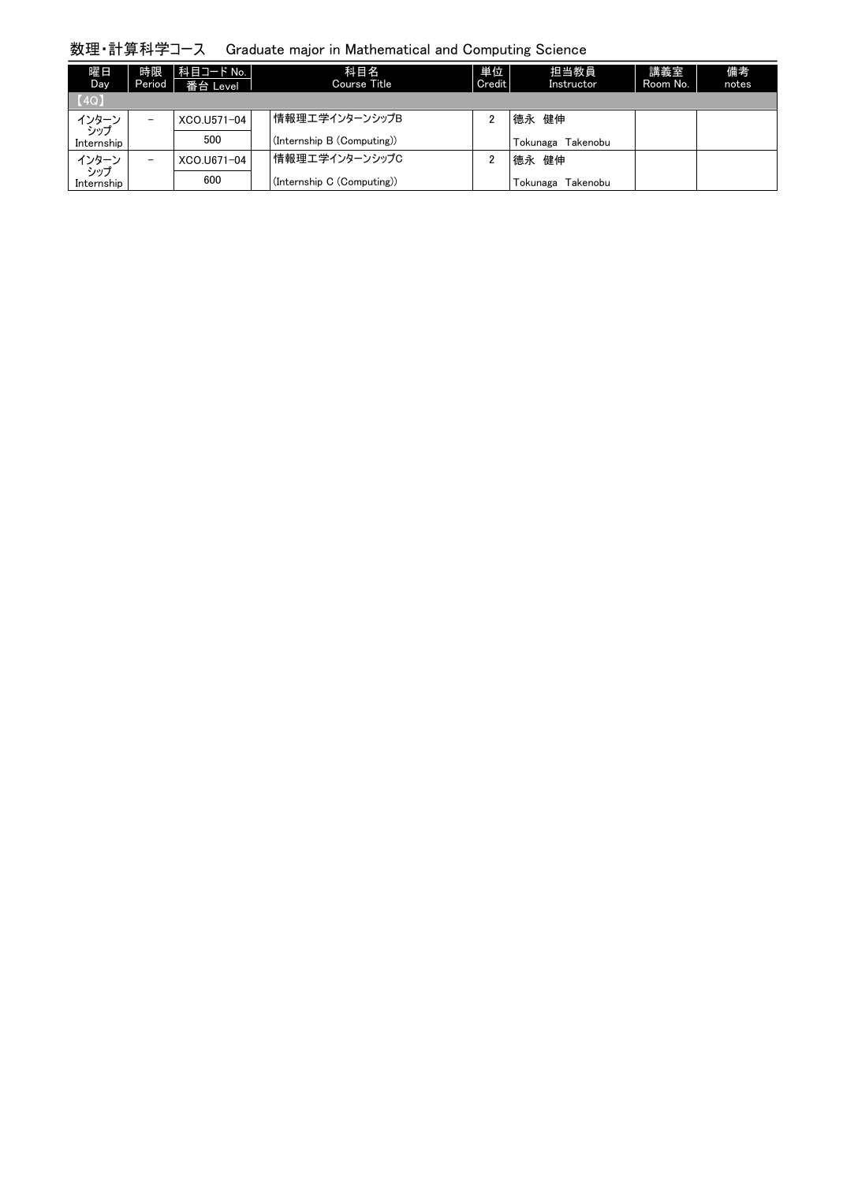# 数理・計算科学コース Graduate major in Mathematical and Computing Science

| 曜日<br>Day.    | 時限<br>Period             | 科目コード No.  <br>番台 Level | 科目名<br>Course Title        | 単位<br>Credit | 担当教員<br>Instructor     | 講義室<br>Room No. | 備考<br>notes |
|---------------|--------------------------|-------------------------|----------------------------|--------------|------------------------|-----------------|-------------|
| [4Q]          |                          |                         |                            |              |                        |                 |             |
| インターン<br>・シップ | -                        | XCO.U571-04             | 情報理工学インターンシップB             |              | 德永 健伸                  |                 |             |
| Internship    |                          | 500                     | (Internship B (Computing)) |              | Tokunaga<br>Takenobu   |                 |             |
| インターン<br>・シップ | $\overline{\phantom{0}}$ | XCO.U671-04             | 情報理工学インターンシップC             |              | 德永 健伸                  |                 |             |
| Internship    |                          | 600                     | (Internship C (Computing)) |              | . Tokunaga<br>Takenobu |                 |             |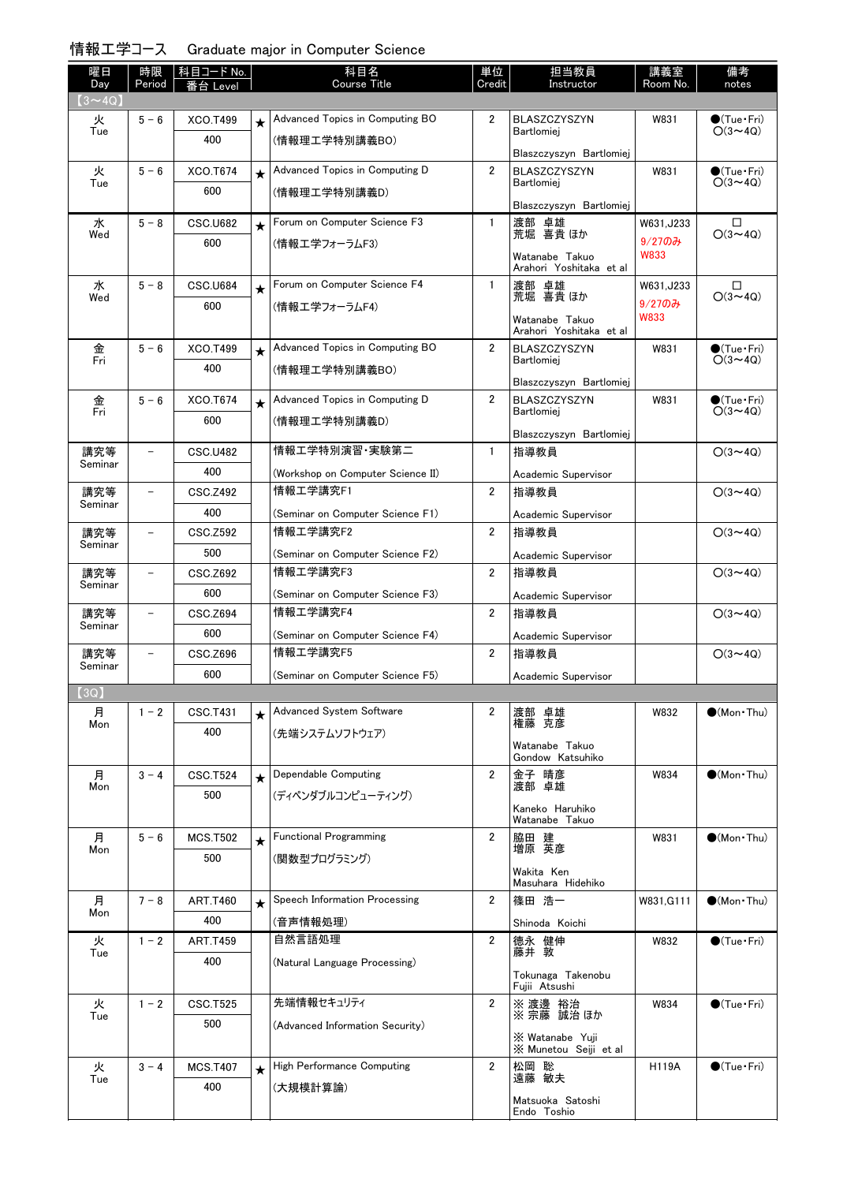| 情報工学コース Graduate major in Computer Science |  |  |  |  |
|--------------------------------------------|--|--|--|--|
|--------------------------------------------|--|--|--|--|

| 曜日<br>Day                     | 時限<br>Period             | 科目コード No.<br>番台 Level |         | 科目名<br><b>Course Title</b>        | 単位<br>Credit   | 担当教員<br>Instructor                             | 講義室<br>Room No. | 備考<br>notes                              |
|-------------------------------|--------------------------|-----------------------|---------|-----------------------------------|----------------|------------------------------------------------|-----------------|------------------------------------------|
| $(3\mathtt{\sim}4\mathrm{Q})$ |                          |                       |         |                                   |                |                                                |                 |                                          |
| 火<br>Tue                      | $5 - 6$                  | XCO.T499              | $\star$ | Advanced Topics in Computing BO   | $\overline{2}$ | <b>BLASZCZYSZYN</b><br>Bartlomiei              | W831            | $\bullet$ (Tue•Fri)<br>$O(3 \sim 4Q)$    |
|                               |                          | 400                   |         | (情報理工学特別講義BO)                     |                |                                                |                 |                                          |
| 火                             | $5 - 6$                  | XCO.T674              |         | Advanced Topics in Computing D    | $\overline{2}$ | Blaszczyszyn Bartlomiei<br><b>BLASZCZYSZYN</b> | W831            | $\bullet$ (Tue•Fri)                      |
| Tue                           |                          | 600                   | $\star$ | (情報理工学特別講義D)                      |                | Bartlomiei                                     |                 | $O(3 \sim 4Q)$                           |
|                               |                          |                       |         |                                   |                | Blaszczyszyn Bartlomiej                        |                 |                                          |
| 水                             | $5 - 8$                  | CSC.U682              | $\star$ | Forum on Computer Science F3      | $\mathbf{1}$   | 渡部 卓雄                                          | W631.J233       | □                                        |
| Wed                           |                          | 600                   |         | (情報工学フォーラムF3)                     |                | 荒堀 喜貴 ほか                                       | $9/270$ み       | $O(3 \sim 4Q)$                           |
|                               |                          |                       |         |                                   |                | Watanabe Takuo<br>Arahori Yoshitaka et al      | <b>W833</b>     |                                          |
| 水                             | $5 - 8$                  | CSC.U684              | $\star$ | Forum on Computer Science F4      | $\mathbf{1}$   | 渡部 卓雄                                          | W631,J233       | $\Box$                                   |
| Wed                           |                          | 600                   |         | (情報エ学フォーラムF4)                     |                | 荒堀 喜貴 ほか                                       | $9/270$ み       | $O(3 \sim 4Q)$                           |
|                               |                          |                       |         |                                   |                | Watanabe Takuo<br>Arahori Yoshitaka etal       | W833            |                                          |
| 金                             | $5 - 6$                  | XCO.T499              | $\star$ | Advanced Topics in Computing BO   | $\overline{2}$ | BLASZCZYSZYN                                   | W831            | $\bullet$ (Tue•Fri)                      |
| Fri                           |                          | 400                   |         | (情報理工学特別講義BO)                     |                | Bartlomiej                                     |                 | $O(3 \sim 40)$                           |
|                               |                          |                       |         |                                   |                | Blaszczyszyn Bartlomiej                        |                 |                                          |
| 金<br>Fri                      | $5 - 6$                  | XCO.T674              | $\star$ | Advanced Topics in Computing D    | $\overline{2}$ | <b>BLASZCZYSZYN</b><br>Bartlomiej              | W831            | $\bigcirc$ (Tue · Fri)<br>$O(3 \sim 4Q)$ |
|                               |                          | 600                   |         | (情報理工学特別講義D)                      |                | Blaszczyszyn Bartlomiej                        |                 |                                          |
| 講究等                           | $\qquad \qquad -$        | <b>CSC.U482</b>       |         | 情報工学特別演習・実験第二                     | $\mathbf{1}$   | 指導教員                                           |                 | $O(3 \sim 4Q)$                           |
| Seminar                       |                          | 400                   |         | (Workshop on Computer Science II) |                | Academic Supervisor                            |                 |                                          |
| 講究等                           | $\qquad \qquad -$        | <b>CSC.Z492</b>       |         | 情報工学講究F1                          | $\overline{2}$ | 指導教員                                           |                 | $O(3 \sim 4Q)$                           |
| Seminar                       |                          | 400                   |         | (Seminar on Computer Science F1)  |                | Academic Supervisor                            |                 |                                          |
| 講究等                           | $\overline{\phantom{0}}$ | CSC.Z592              |         | 情報工学講究F2                          | $\overline{2}$ | 指導教員                                           |                 | $O(3 \sim 4Q)$                           |
| Seminar                       |                          | 500                   |         | (Seminar on Computer Science F2)  |                | Academic Supervisor                            |                 |                                          |
| 講究等                           | $\overline{\phantom{0}}$ | CSC.Z692              |         | 情報工学講究F3                          | $\overline{2}$ | 指導教員                                           |                 | $O(3 \sim 4Q)$                           |
| Seminar                       |                          | 600                   |         | (Seminar on Computer Science F3)  |                | Academic Supervisor                            |                 |                                          |
| 講究等                           | $\overline{\phantom{0}}$ | <b>CSC.Z694</b>       |         | 情報工学講究F4                          | 2              | 指導教員                                           |                 | $O(3 \sim 4Q)$                           |
| Seminar                       |                          | 600                   |         | (Seminar on Computer Science F4)  |                | Academic Supervisor                            |                 |                                          |
| 講究等                           | $\overline{\phantom{a}}$ | CSC.Z696              |         | 情報工学講究F5                          | $\overline{2}$ | 指導教員                                           |                 | $O(3 \sim 4Q)$                           |
| Seminar                       |                          | 600                   |         | (Seminar on Computer Science F5)  |                | Academic Supervisor                            |                 |                                          |
| (3Q)                          |                          |                       |         |                                   |                |                                                |                 |                                          |
| 月<br>Mon                      | $1 - 2$                  | CSC.T431              |         | Advanced System Software          | 2              | 渡部 卓雄<br>克彦<br>権藤                              | W832            | $\bullet$ (Mon Thu)                      |
|                               |                          | 400                   |         | (先端システムソフトウェア)                    |                | Watanabe Takuo                                 |                 |                                          |
|                               |                          |                       |         |                                   |                | Gondow Katsuhiko                               |                 |                                          |
| 月<br>Mon                      | $3 - 4$                  | <b>CSC.T524</b>       | $\star$ | Dependable Computing              | $\overline{2}$ | 金子 晴彦<br>渡部 卓雄                                 | W834            | $(Mon\cdot Thu)$                         |
|                               |                          | 500                   |         | (ディペンダブルコンピューティング)                |                | Kaneko Haruhiko                                |                 |                                          |
|                               |                          |                       |         |                                   |                | Watanabe Takuo                                 |                 |                                          |
| 月<br>Mon                      | $5 - 6$                  | <b>MCS.T502</b>       | $\star$ | <b>Functional Programming</b>     | 2              | 脇田 建<br>増原 英彦                                  | W831            | $\bullet$ (Mon Thu)                      |
|                               |                          | 500                   |         | (関数型プログラミング)                      |                |                                                |                 |                                          |
|                               |                          |                       |         |                                   |                | Wakita Ken<br>Masuhara Hidehiko                |                 |                                          |
| 月                             | $7 - 8$                  | <b>ART.T460</b>       | $\star$ | Speech Information Processing     | 2              | 篠田 浩一                                          | W831, G111      | $\bullet$ (Mon Thu)                      |
| Mon                           |                          | 400                   |         | (音声情報処理)                          |                | Shinoda Koichi                                 |                 |                                          |
| 火<br>Tue                      | $1 - 2$                  | <b>ART.T459</b>       |         | 自然言語処理                            | 2              | 德永 健伸<br>藤井 敦                                  | W832            | $\bigcirc$ (Tue · Fri)                   |
|                               |                          | 400                   |         | (Natural Language Processing)     |                |                                                |                 |                                          |
|                               |                          |                       |         |                                   |                | Tokunaga Takenobu<br>Fujii Atsushi             |                 |                                          |
| 火                             | $1 - 2$                  | <b>CSC.T525</b>       |         | 先端情報セキュリティ                        | $\overline{2}$ | ※ 渡邊 裕治<br>※ 宗藤 誠治 ほか                          | W834            | $\bullet$ (Tue•Fri)                      |
| Tue                           |                          | 500                   |         | (Advanced Information Security)   |                |                                                |                 |                                          |
|                               |                          |                       |         |                                   |                | X Watanabe Yuji<br>X Munetou Seiji et al       |                 |                                          |
| 火                             | $3 - 4$                  | <b>MCS.T407</b>       | $\star$ | High Performance Computing        | $\overline{2}$ | 松岡 聡                                           | <b>H119A</b>    | $\bigcirc$ (Tue · Fri)                   |
| Tue                           |                          | 400                   |         | (大規模計算論)                          |                | 遠藤 敏夫                                          |                 |                                          |
|                               |                          |                       |         |                                   |                | Matsuoka Satoshi<br>Endo Toshio                |                 |                                          |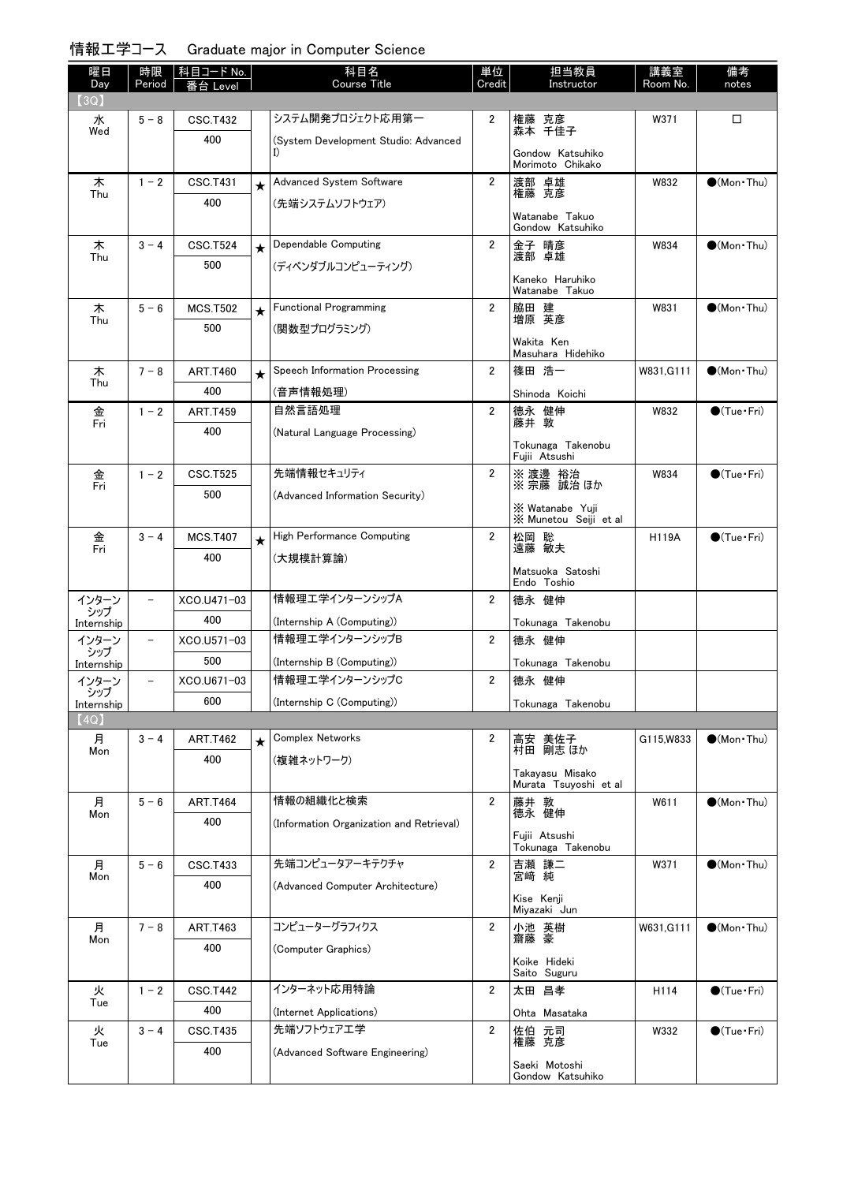### 情報工学コース Graduate major in Computer Science

| 曜日<br>Day         | 時限<br>Period             | 科目コード No.<br>Level     |         | 科目名<br>Course Title                        | 単位<br>Credit            | 担当教員<br>Instructor                       | 講義室<br>Room No. | 備考<br>notes            |
|-------------------|--------------------------|------------------------|---------|--------------------------------------------|-------------------------|------------------------------------------|-----------------|------------------------|
| (3Q)              |                          |                        |         |                                            |                         |                                          |                 |                        |
| 水<br>Wed          | $5 - 8$                  | <b>CSC.T432</b>        |         | システム開発プロジェクト応用第一                           | 2                       | 権藤 克彦<br>森本 千佳子                          | W371            | □                      |
|                   |                          | 400                    |         | (System Development Studio: Advanced<br>I) |                         | Gondow Katsuhiko<br>Morimoto Chikako     |                 |                        |
| 木                 | $1 - 2$                  | <b>CSC.T431</b>        | $\star$ | Advanced System Software                   | $\overline{2}$          | 渡部 卓雄                                    | W832            | $\bullet$ (Mon Thu)    |
| Thu               |                          | 400                    |         | (先端システムソフトウェア)                             |                         | 権藤 克彦<br>Watanabe Takuo                  |                 |                        |
| 木                 | $3 - 4$                  | <b>CSC.T524</b>        |         | Dependable Computing                       | $\overline{2}$          | Gondow Katsuhiko<br>金子 晴彦                | W834            | $(Mon\cdot Thu)$       |
| Thu               |                          | 500                    | $\star$ | (ディペンダブルコンピューティング)                         |                         | 渡部 卓雄                                    |                 |                        |
|                   |                          |                        |         |                                            |                         | Kaneko Haruhiko<br>Watanabe Takuo        |                 |                        |
| 木                 | $5 - 6$                  | <b>MCS.T502</b>        | $\star$ | <b>Functional Programming</b>              | $\overline{2}$          | 脇田 建<br>増原 英彦                            | W831            | $\bigcirc$ (Mon Thu)   |
| Thu               |                          | 500                    |         | (関数型プログラミング)                               |                         | Wakita Ken                               |                 |                        |
|                   | $7 - 8$                  |                        |         | Speech Information Processing              | 2                       | Masuhara Hidehiko<br>篠田 浩一               |                 | $\bigcirc$ (Mon · Thu) |
| 木<br>Thu          |                          | <b>ART.T460</b><br>400 | $\star$ |                                            |                         |                                          | W831, G111      |                        |
|                   |                          |                        |         | (音声情報処理)<br>自然言語処理                         | 2                       | Shinoda Koichi                           | W832            | $\bigcirc$ (Tue · Fri) |
| 金<br>Fri          | $1 - 2$                  | <b>ART.T459</b><br>400 |         |                                            |                         | 德永 健伸<br>藤井 敦                            |                 |                        |
|                   |                          |                        |         | (Natural Language Processing)              |                         | Tokunaga Takenobu<br>Fujii Atsushi       |                 |                        |
| 金<br>Fri          | $1 - 2$                  | <b>CSC.T525</b>        |         | 先端情報セキュリティ                                 | $\overline{2}$          | ※ 渡邊 裕治<br>※宗藤 誠治ほか                      | W834            | $\bullet$ (Tue•Fri)    |
|                   |                          | 500                    |         | (Advanced Information Security)            |                         | X Watanabe Yuji<br>X Munetou Seiji et al |                 |                        |
|                   | $3 - 4$                  | <b>MCS.T407</b>        | $\star$ | High Performance Computing                 | $\overline{2}$          |                                          | <b>H119A</b>    | $\bigcirc$ (Tue · Fri) |
| 金<br>Fri          |                          | 400                    |         | (大規模計算論)                                   |                         | 松岡 聡<br>遠藤 敏夫                            |                 |                        |
|                   |                          |                        |         |                                            |                         | Matsuoka Satoshi<br>Endo Toshio          |                 |                        |
| インターン             |                          | XCO.U471-03            |         | 情報理エ学インターンシップA                             | 2                       | 德永 健伸                                    |                 |                        |
| シップ<br>Internship |                          | 400                    |         | (Internship A (Computing))                 |                         | Tokunaga Takenobu                        |                 |                        |
| インターン<br>シップ      | $\overline{\phantom{0}}$ | XCO.U571-03            |         | 情報理エ学インターンシップB                             | 2                       | 德永 健伸                                    |                 |                        |
| Internship        |                          | 500                    |         | (Internship B (Computing))                 |                         | Tokunaga Takenobu                        |                 |                        |
| インターン             | $\qquad \qquad -$        | XCO.U671-03            |         | 情報理工学インターンシップC                             | $\overline{2}$          | 德永 健伸                                    |                 |                        |
| ンツノ<br>Internship |                          | 600                    |         | (Internship C (Computing))                 |                         | Tokunaga Takenobu                        |                 |                        |
| (4Q)              |                          |                        |         |                                            |                         |                                          |                 |                        |
| 月<br>Mon          | $3 - 4$                  | <b>ART.T462</b>        | $\star$ | <b>Complex Networks</b>                    | 2                       | 高安 美佐子<br>村田 剛志 ほか                       | G115.W833       | $\bullet$ (Mon Thu)    |
|                   |                          | 400                    |         | (複雑ネットワーク)                                 |                         | Takayasu Misako<br>Murata Tsuyoshi et al |                 |                        |
| 月                 | $5 - 6$                  | <b>ART.T464</b>        |         | 情報の組織化と検索                                  | $\overline{\mathbf{2}}$ | 藤井 敦                                     | W611            | $\bullet$ (Mon Thu)    |
| Mon               |                          | 400                    |         | (Information Organization and Retrieval)   |                         | 德永 健伸                                    |                 |                        |
|                   |                          |                        |         |                                            |                         | Fujii Atsushi<br>Tokunaga Takenobu       |                 |                        |
| 月                 | $5 - 6$                  | <b>CSC.T433</b>        |         | 先端コンピュータアーキテクチャ                            | 2                       | 吉瀬 謙二                                    | W371            | $\bullet$ (Mon Thu)    |
| Mon               |                          | 400                    |         | (Advanced Computer Architecture)           |                         | 宮崎 純<br>Kise Kenji                       |                 |                        |
|                   |                          |                        |         |                                            |                         | Miyazaki Jun                             |                 |                        |
| 月<br>Mon          | $7 - 8$                  | <b>ART.T463</b>        |         | コンピューターグラフィクス                              | $\overline{2}$          | 小池 英樹<br>齋藤 豪                            | W631, G111      | $\bullet$ (Mon Thu)    |
|                   |                          | 400                    |         | (Computer Graphics)                        |                         | Koike Hideki<br>Saito Suguru             |                 |                        |
| 火                 | $1 - 2$                  | <b>CSC.T442</b>        |         | インターネット応用特論                                | $\overline{2}$          | 太田 昌孝                                    | H114            | $\bullet$ (Tue•Fri)    |
| Tue               |                          | 400                    |         | (Internet Applications)                    |                         | Ohta Masataka                            |                 |                        |
| 火                 | $3 - 4$                  | <b>CSC.T435</b>        |         | 先端ソフトウェアエ学                                 | $\overline{2}$          | 佐伯 元司                                    | W332            | $\bullet$ (Tue•Fri)    |
| Tue               |                          | 400                    |         | (Advanced Software Engineering)            |                         | 権藤 克彦                                    |                 |                        |
|                   |                          |                        |         |                                            |                         | Saeki Motoshi<br>Gondow Katsuhiko        |                 |                        |